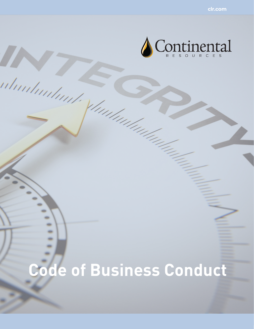

# **Code of Business Conduct**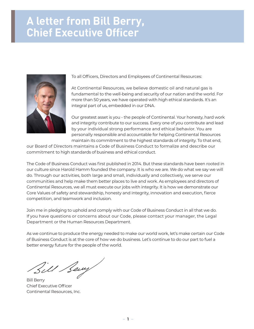## **A letter from Bill Berry, Chief Executive Officer**



To all Officers, Directors and Employees of Continental Resources:

At Continental Resources, we believe domestic oil and natural gas is fundamental to the well-being and security of our nation and the world. For more than 50 years, we have operated with high ethical standards. It's an integral part of us, embedded in our DNA.

Our greatest asset is you - the people of Continental. Your honesty, hard work and integrity contribute to our success. Every one of you contribute and lead by your individual strong performance and ethical behavior. You are personally responsible and accountable for helping Continental Resources maintain its commitment to the highest standards of integrity. To that end,

our Board of Directors maintains a Code of Business Conduct to formalize and describe our commitment to high standards of business and ethical conduct.

The Code of Business Conduct was first published in 2014. But these standards have been rooted in our culture since Harold Hamm founded the company. It is who we are. We do what we say we will do. Through our activities, both large and small, individually and collectively, we serve our communities and help make them better places to live and work. As employees and directors of Continental Resources, we all must execute our jobs with integrity. It is how we demonstrate our Core Values of safety and stewardship, honesty and integrity, innovation and execution, fierce competition, and teamwork and inclusion.

Join me in pledging to uphold and comply with our Code of Business Conduct in all that we do. If you have questions or concerns about our Code, please contact your manager, the Legal Department or the Human Resources Department.

As we continue to produce the energy needed to make our world work, let's make certain our Code of Business Conduct is at the core of how we do business. Let's continue to do our part to fuel a better energy future for the people of the world.

Bill Bewy

Bill Berry Chief Executive Officer Continental Resources, Inc.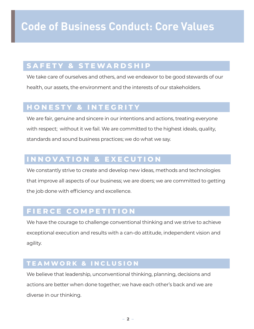## **SAFETY & STEWARDSHIP**

We take care of ourselves and others, and we endeavor to be good stewards of our health, our assets, the environment and the interests of our stakeholders.

## **HONESTY & INTEGRITY**

We are fair, genuine and sincere in our intentions and actions, treating everyone with respect; without it we fail. We are committed to the highest ideals, quality, standards and sound business practices; we do what we say.

## **INNOVATION & EXECUTION**

We constantly strive to create and develop new ideas, methods and technologies that improve all aspects of our business; we are doers; we are committed to getting the job done with efficiency and excellence.

## **FIERCE COMPETITION**

We have the courage to challenge conventional thinking and we strive to achieve exceptional execution and results with a can-do attitude, independent vision and agility.

### **TEAMWORK & INCLUSION**

We believe that leadership, unconventional thinking, planning, decisions and actions are better when done together; we have each other's back and we are diverse in our thinking.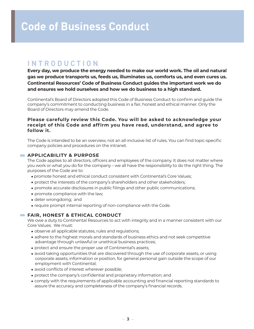## **INTRODUCTION**

**Every day, we produce the energy needed to make our world work. The oil and natural gas we produce transports us, feeds us, illuminates us, comforts us, and even cures us. Continental Resources' Code of Business Conduct guides the important work we do and ensures we hold ourselves and how we do business to a high standard.**

Continental's Board of Directors adopted this Code of Business Conduct to confirm and guide the company's commitment to conducting business in a fair, honest and ethical manner. Only the Board of Directors may amend the Code.

#### **Please carefully review this Code. You will be asked to acknowledge your receipt of this Code and affirm you have read, understand, and agree to follow it.**

The Code is intended to be an overview, not an all-inclusive list of rules. You can find topic-specific company policies and procedures on the intranet.

#### **APPLICABILITY & PURPOSE**

The Code applies to all directors, officers and employees of the company. It does not matter where you work or what you do for the company – we all have the responsibility to do the right thing. The purposes of the Code are to:

- **•** promote honest and ethical conduct consistent with Continental's Core Values;
- protect the interests of the company's shareholders and other stakeholders;
- **•** promote accurate disclosures in public filings and other public communications;
- **•** promote compliance with the law;
- **•** deter wrongdoing; and
- **•** require prompt internal reporting of non-compliance with the Code.

#### **FAIR, HONEST & ETHICAL CONDUCT**

We owe a duty to Continental Resources to act with integrity and in a manner consistent with our Core Values. We must:

- **•** observe all applicable statutes, rules and regulations;
- **•** adhere to the highest morals and standards of business ethics and not seek competitive advantage through unlawful or unethical business practices;
- **•** protect and ensure the proper use of Continental's assets;
- **•** avoid taking opportunities that are discovered through the use of corporate assets, or using corporate assets, information or position, for general personal gain outside the scope of our employment with Continental;
- **•** avoid conflicts of interest wherever possible;
- **•** protect the company's confidential and proprietary information; and
- **•** comply with the requirements of applicable accounting and financial reporting standards to assure the accuracy and completeness of the company's financial records.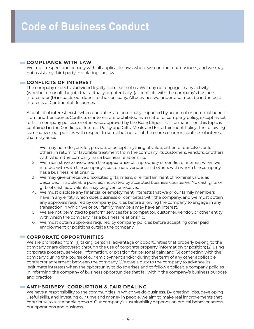#### **COMPLIANCE WITH LAW**

We must respect and comply with all applicable laws where we conduct our business, and we may not assist any third party in violating the law.

#### **CONFLICTS OF INTEREST**

The company expects undivided loyalty from each of us. We may not engage in any activity (whether on or off the job) that actually or potentially: (a) conflicts with the company's business interests; or (b) impacts our duties to the company. All activities we undertake must be in the best interests of Continental Resources.

A conflict of interest exists when our duties are potentially impacted by an actual or potential benefit from another source. Conflicts of interest are prohibited as a matter of company policy, except as set forth in company policies or otherwise approved by the Board. Specific information on this topic is contained in the Conflicts of Interest Policy and Gifts, Meals and Entertainment Policy. The following summarizes our policies with respect to some but not all of the more common conflicts of interest that may arise:

- 1. We may not offer, ask for, provide, or accept anything of value, either for ourselves or for others, in return for favorable treatment from the company, its customers, vendors, or others with whom the company has a business relationship.
- 2. We must strive to avoid even the appearance of impropriety or conflict of interest when we interact with with the company's customers, vendors, and others with whom the company has a business relationship.
- 3. We may give or receive unsolicited gifts, meals, or entertainment of nominal value, as described in applicable policies, motivated by accepted business courtesies. No cash gifts or gifts of cash equivalents may be given or received.
- 4. We must disclose any financial or employment interests that we or our family members have in any entity which does business or competes with the company, and we must obtain any approvals required by company policies before allowing the company to engage in any transaction in which we or our family members may have an interest.
- 5. We are not permitted to perform services for a competitor, customer, vendor, or other entity with which the company has a business relationship.
- 6. We must obtain approvals required by company policies before accepting other paid employment or positions outside the company.

#### **CORPORATE OPPORTUNITIES**

We are prohibited from: (1) taking personal advantage of opportunities that properly belong to the company or are discovered through the use of corporate property, information or position; (2) using corporate property, services, information, or position for personal gain; and (3) competing with the company during the course of our employment and/or during the term of any other applicable contractor agreement between the company. We owe a duty to the company to advance its legitimate interests when the opportunity to do so arises and to follow applicable company policies in informing the company of business opportunities that fall within the company's business purpose and practice.

#### **ANTI-BRIBERY, CORRUPTION & FAIR DEALING**

We have a responsibility to the communities in which we do business. By creating jobs, developing useful skills, and investing our time and money in people, we aim to make real improvements that contribute to sustainable growth. Our company's sustainability depends on ethical behavior across our operations and business.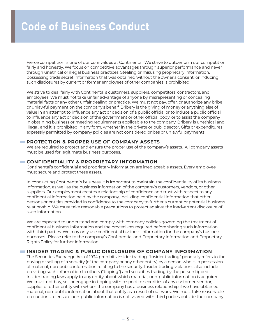Fierce competition is one of our core values at Continental. We strive to outperform our competition fairly and honestly. We focus on competitive advantages through superior performance and never through unethical or illegal business practices. Stealing or misusing proprietary information, possessing trade secret information that was obtained without the owner's consent, or inducing such disclosures by current or former employees of other companies is prohibited.

We strive to deal fairly with Continental's customers, suppliers, competitors, contractors, and employees. We must not take unfair advantage of anyone by misrepresenting or concealing material facts or any other unfair dealing or practice. We must not pay, offer, or authorize any bribe or unlawful payment on the company's behalf. Bribery is the giving of money or anything else of value in an attempt to influence any act or decision of a public official or to induce a public official to influence any act or decision of the government or other official body, or to assist the company in obtaining business or meeting requirements applicable to the company. Bribery is unethical and illegal, and it is prohibited in any form, whether in the private or public sector. Gifts or expenditures expressly permitted by company policies are not considered bribes or unlawful payments.

#### **PROTECTION & PROPER USE OF COMPANY ASSETS**

We are required to protect and ensure the proper use of the company's assets. All company assets must be used for legitimate business purposes.

#### **CONFIDENTIALITY & PROPRIETARY INFORMATION**

Continental's confidential and proprietary information are irreplaceable assets. Every employee must secure and protect these assets.

In conducting Continental's business, it is important to maintain the confidentiality of its business information, as well as the business information of the company's customers, vendors, or other suppliers. Our employment creates a relationship of confidence and trust with respect to any confidential information held by the company, including confidential information that other persons or entities provided in confidence to the company to further a current or potential business relationship. We must take reasonable precautions to protect against the inadvertent disclosure of such information.

We are expected to understand and comply with company policies governing the treatment of confidential business information and the procedures required before sharing such information with third parties. We may only use confidential business information for the company's business purposes. Please refer to the company's Confidential and Proprietary Information and Proprietary Rights Policy for further information.

#### **INSIDER TRADING & PUBLIC DISCLOSURE OF COMPANY INFORMATION**

The Securities Exchange Act of 1934 prohibits insider trading. "Insider trading" generally refers to the buying or selling of a security (of the company or any other entity) by a person who is in possession of material, non-public information relating to the security. Insider trading violations also include providing such information to others ("tipping") and securities trading by the person tipped. Insider trading laws apply to any entity about which material, non-public information is acquired. We must not buy, sell or engage in tipping with respect to securities of any customer, vendor, supplier or other entity with whom the company has a business relationship if we have obtained material, non-public information about that entity as a result of our work. We must take reasonable precautions to ensure non-public information is not shared with third parties outside the company.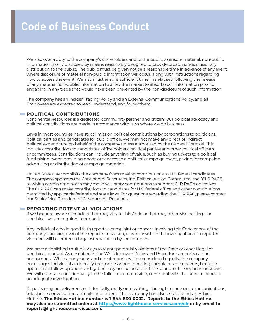We also owe a duty to the company's shareholders and to the public to ensure material, non-public information is only disclosed by means reasonably designed to provide broad, non-exclusionary distribution to the public. The public must be given notice a reasonable time in advance of any event where disclosure of material non-public information will occur, along with instructions regarding how to access the event. We also must ensure sufficient time has elapsed following the release of any material non-public information to allow the market to absorb such information prior to engaging in any trade that would have been prevented by the non-disclosure of such information.

The company has an Insider Trading Policy and an External Communications Policy, and all Employees are expected to read, understand, and follow them.

#### **POLITICAL CONTRIBUTIONS**

Continental Resources is a dedicated community partner and citizen. Our political advocacy and political contributions are made in accordance with laws where we do business.

Laws in most countries have strict limits on political contributions by corporations to politicians, political parties and candidates for public office. We may not make any direct or indirect political expenditure on behalf of the company unless authorized by the General Counsel. This includes contributions to candidates, office holders, political parties and other political officials or committees. Contributions can include anything of value, such as buying tickets to a political fundraising event, providing goods or services to a political campaign event, paying for campaign advertising or distribution of campaign materials.

United States law prohibits the company from making contributions to U.S. federal candidates. The company sponsors the Continental Resources, Inc. Political Action Committee (the "CLR PAC"), to which certain employees may make voluntary contributions to support CLR PAC's objectives. The CLR PAC can make contributions to candidates for U.S. federal office and other contributions permitted by applicable federal and state laws. For questions regarding the CLR PAC, please contact our Senior Vice President of Government Relations.

#### **REPORTING POTENTIAL VIOLATIONS**

If we become aware of conduct that may violate this Code or that may otherwise be illegal or unethical, we are required to report it.

Any individual who in good faith reports a complaint or concern involving this Code or any of the company's policies, even if the report is mistaken, or who assists in the investigation of a reported violation, will be protected against retaliation by the company.

We have established multiple ways to report potential violations of the Code or other illegal or unethical conduct. As described in the Whistleblower Policy and Procedures, reports can be anonymous. While anonymous and direct reports will be considered equally, the company encourages individuals to identify themselves when reporting complaints or concerns, because appropriate follow-up and investigation may not be possible if the source of the report is unknown. We will maintain confidentiality to the fullest extent possible, consistent with the need to conduct an adequate investigation.

Reports may be delivered confidentially, orally or in writing, through in-person communications, telephone conversations, emails and letters. The company has also established an Ethics Hotline. **The Ethics Hotline number is 1-844-830-0002. Reports to the Ethics Hotline may also be submitted online at <https://www.lighthouse-services.com/clr>or by email to reports@lighthouse-services.com.**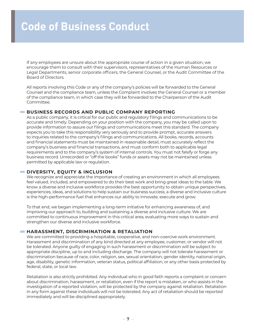If any employees are unsure about the appropriate course of action in a given situation, we encourage them to consult with their supervisors, representatives of the Human Resources or Legal Departments, senior corporate officers, the General Counsel, or the Audit Committee of the Board of Directors.

All reports involving this Code or any of the company's policies will be forwarded to the General Counsel and the compliance team, unless the Complaint involves the General Counsel or a member of the compliance team, in which case they will be forwarded to the Chairperson of the Audit Committee.

#### **BUSINESS RECORDS AND PUBLIC COMPANY REPORTING**

As a public company, it is critical for our public and regulatory filings and communications to be accurate and timely. Depending on your position with the company, you may be called upon to provide information to assure our filings and communications meet this standard. The company expects you to take this responsibility very seriously and to provide prompt, accurate answers to inquiries related to the company's filings and communications. All books, records, accounts and financial statements must be maintained in reasonable detail, must accurately reflect the company's business and financial transactions, and must conform both to applicable legal requirements and to the company's system of internal controls. You must not falsify or forge any business record. Unrecorded or "off the books" funds or assets may not be maintained unless permitted by applicable law or regulation.

#### **DIVERSITY, EQUITY & INCLUSION**

We recognize and appreciate the importance of creating an environment in which all employees feel valued, included, and empowered to do their best work and bring great ideas to the table. We know a diverse and inclusive workforce provides the best opportunity to obtain unique perspectives, experiences, ideas, and solutions to help sustain our business success; a diverse and inclusive culture is the high-performance fuel that enhances our ability to innovate, execute and grow.

To that end, we began implementing a long-term initiative for enhancing awareness of, and improving our approach to, building and sustaining a diverse and inclusive culture. We are committed to continuous improvement in this critical area, evaluating more ways to sustain and strengthen our diverse and inclusive workforce.

#### **HARASSMENT, DISCRIMINATION & RETALIATION**

We are committed to providing a hospitable, cooperative, and non-coercive work environment. Harassment and discrimination of any kind directed at any employee, customer, or vendor will not be tolerated. Anyone guilty of engaging in such harassment or discrimination will be subject to appropriate discipline, up to and including discharge. The company will not tolerate harassment or discrimination because of race, color, religion, sex, sexual orientation, gender identity, national origin, age, disability, genetic information, veteran status, political affiliation, or any other basis protected by federal, state, or local law.

Retaliation is also strictly prohibited. Any individual who in good faith reports a complaint or concern about discrimination, harassment, or retaliation, even if the report is mistaken, or who assists in the investigation of a reported violation, will be protected by the company against retaliation. Retaliation in any form against these individuals will not be tolerated. Any act of retaliation should be reported immediately and will be disciplined appropriately.